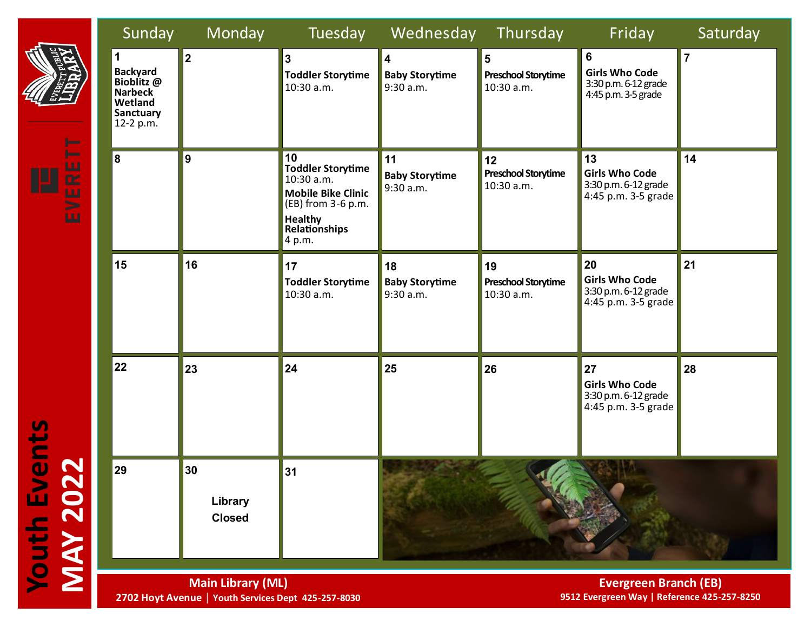|                                                 | Sunday                                                                                              | Monday                         | Tuesday                                                                                                                                      | Wednesday                                | Thursday                                                   | Friday                                                                          | Saturday       |  |
|-------------------------------------------------|-----------------------------------------------------------------------------------------------------|--------------------------------|----------------------------------------------------------------------------------------------------------------------------------------------|------------------------------------------|------------------------------------------------------------|---------------------------------------------------------------------------------|----------------|--|
| $\overline{\phantom{0}}$                        | $\mathbf 1$<br><b>Backyard</b><br>Bioblitz @<br><b>Narbeck</b><br>Wetland<br>Sanctuary<br>12-2 p.m. | 2                              | 3<br><b>Toddler Storytime</b><br>10:30 a.m.                                                                                                  | 4<br><b>Baby Storytime</b><br>9:30 a.m.  | $5\phantom{1}$<br><b>Preschool Storytime</b><br>10:30 a.m. | $\bf 6$<br><b>Girls Who Code</b><br>3:30 p.m. 6-12 grade<br>4:45 p.m. 3-5 grade | $\overline{7}$ |  |
| <b>Ford</b><br>ш<br>匠<br>孟                      | $\overline{\mathbf{8}}$                                                                             | 9                              | 10<br><b>Toddler Storytime</b><br>10:30 a.m.<br><b>Mobile Bike Clinic</b><br>(EB) from 3-6 p.m.<br><b>Healthy</b><br>Relationships<br>4 p.m. | 11<br><b>Baby Storytime</b><br>9:30 a.m. | 12<br><b>Preschool Storytime</b><br>10:30 a.m.             | 13<br><b>Girls Who Code</b><br>3:30 p.m. 6-12 grade<br>4:45 p.m. 3-5 grade      | 14             |  |
|                                                 | 15                                                                                                  | 16                             | 17<br><b>Toddler Storytime</b><br>10:30 a.m.                                                                                                 | 18<br><b>Baby Storytime</b><br>9:30 a.m. | 19<br><b>Preschool Storytime</b><br>10:30 a.m.             | 20<br><b>Girls Who Code</b><br>3:30 p.m. 6-12 grade<br>4:45 p.m. 3-5 grade      | 21             |  |
| ents<br>N<br>outh E<br>$\bigcirc$<br><b>MAV</b> | 22                                                                                                  | 23                             | 24                                                                                                                                           | 25                                       | 26                                                         | 27<br><b>Girls Who Code</b><br>3:30 p.m. 6-12 grade<br>4:45 p.m. 3-5 grade      | 28             |  |
|                                                 | 29                                                                                                  | 30<br>Library<br><b>Closed</b> | 31                                                                                                                                           |                                          |                                                            |                                                                                 |                |  |
|                                                 |                                                                                                     | <b>Main Library (ML)</b>       |                                                                                                                                              |                                          | <b>Evergreen Branch (EB)</b>                               |                                                                                 |                |  |

**2702 Hoyt Avenue** │ **Youth Services Dept 425-257-8030**

**9512 Evergreen Way | Reference 425-257-8250**